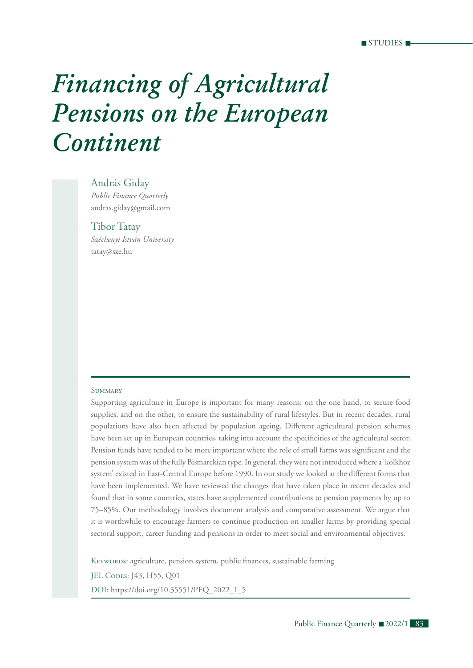# *Financing of Agricultural Pensions on the European Continent*

#### András Giday

*Public Finance Quarterly* andras.giday@gmail.com

Tibor Tatay *Széchenyi István University*  tatay@sze.hu

#### **SUMMARY**

Supporting agriculture in Europe is important for many reasons: on the one hand, to secure food supplies, and on the other, to ensure the sustainability of rural lifestyles. But in recent decades, rural populations have also been affected by population ageing. Different agricultural pension schemes have been set up in European countries, taking into account the specificities of the agricultural sector. Pension funds have tended to be more important where the role of small farms was significant and the pension system was of the fully Bismarckian type. In general, they were not introduced where a 'kolkhoz system' existed in East-Central Europe before 1990. In our study we looked at the different forms that have been implemented. We have reviewed the changes that have taken place in recent decades and found that in some countries, states have supplemented contributions to pension payments by up to 75–85%. Our methodology involves document analysis and comparative assessment. We argue that it is worthwhile to encourage farmers to continue production on smaller farms by providing special sectoral support, career funding and pensions in order to meet social and environmental objectives.

KEYWORDS: agriculture, pension system, public finances, sustainable farming JEL CODES: J43, H55, Q01 DOI: https://doi.org/10.35551/PFQ\_2022\_1\_5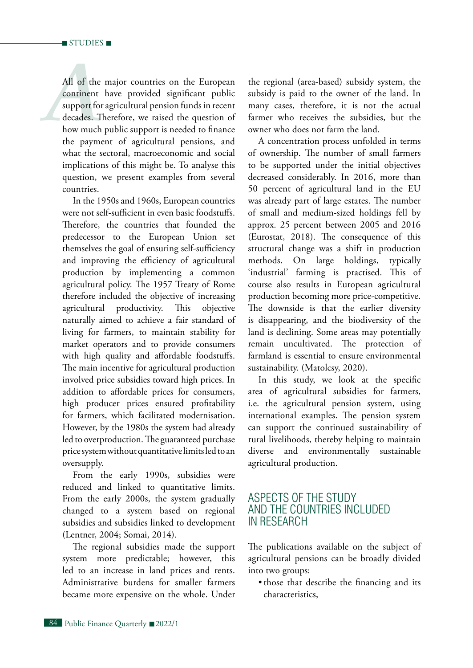*All* of the major countries on the European<br>
continent have provided significant public<br>
support for agricultural pension funds in recent<br>
decades. Therefore, we raised the question of<br>
how much public support is needed t All of the major countries on the European continent have provided significant public support for agricultural pension funds in recent decades. Therefore, we raised the question of the payment of agricultural pensions, and what the sectoral, macroeconomic and social implications of this might be. To analyse this question, we present examples from several countries.

In the 1950s and 1960s, European countries were not self-sufficient in even basic foodstuffs. Therefore, the countries that founded the predecessor to the European Union set themselves the goal of ensuring self-sufficiency and improving the efficiency of agricultural production by implementing a common agricultural policy. The 1957 Treaty of Rome therefore included the objective of increasing agricultural productivity. This objective naturally aimed to achieve a fair standard of living for farmers, to maintain stability for market operators and to provide consumers with high quality and affordable foodstuffs. The main incentive for agricultural production involved price subsidies toward high prices. In addition to affordable prices for consumers, high producer prices ensured profitability for farmers, which facilitated modernisation. However, by the 1980s the system had already led to overproduction. The guaranteed purchase price system without quantitative limits led to an oversupply.

From the early 1990s, subsidies were reduced and linked to quantitative limits. From the early 2000s, the system gradually changed to a system based on regional subsidies and subsidies linked to development (Lentner, 2004; Somai, 2014).

The regional subsidies made the support system more predictable; however, this led to an increase in land prices and rents. Administrative burdens for smaller farmers became more expensive on the whole. Under

the regional (area-based) subsidy system, the subsidy is paid to the owner of the land. In many cases, therefore, it is not the actual farmer who receives the subsidies, but the owner who does not farm the land.

A concentration process unfolded in terms of ownership. The number of small farmers to be supported under the initial objectives decreased considerably. In 2016, more than 50 percent of agricultural land in the EU was already part of large estates. The number of small and medium-sized holdings fell by approx. 25 percent between 2005 and 2016 (Eurostat, 2018). The consequence of this structural change was a shift in production methods. On large holdings, typically 'industrial' farming is practised. This of course also results in European agricultural production becoming more price-competitive. The downside is that the earlier diversity is disappearing, and the biodiversity of the land is declining. Some areas may potentially remain uncultivated. The protection of farmland is essential to ensure environmental sustainability. (Matolcsy, 2020).

In this study, we look at the specific area of agricultural subsidies for farmers, i.e. the agricultural pension system, using international examples. The pension system can support the continued sustainability of rural livelihoods, thereby helping to maintain diverse and environmentally sustainable agricultural production.

# Aspects of the study and the countries included in research

The publications available on the subject of agricultural pensions can be broadly divided into two groups:

• those that describe the financing and its characteristics,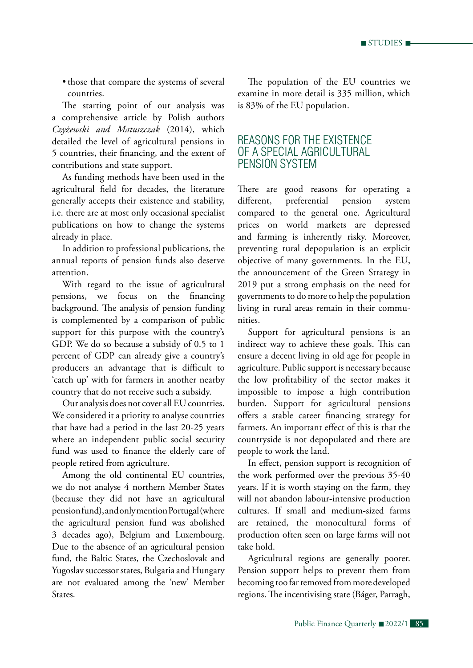• those that compare the systems of several countries.

The starting point of our analysis was a comprehensive article by Polish authors *Czyżewski and Matuszczak* (2014), which detailed the level of agricultural pensions in 5 countries, their financing, and the extent of contributions and state support.

As funding methods have been used in the agricultural field for decades, the literature generally accepts their existence and stability, i.e. there are at most only occasional specialist publications on how to change the systems already in place.

In addition to professional publications, the annual reports of pension funds also deserve attention.

With regard to the issue of agricultural pensions, we focus on the financing background. The analysis of pension funding is complemented by a comparison of public support for this purpose with the country's GDP. We do so because a subsidy of 0.5 to 1 percent of GDP can already give a country's producers an advantage that is difficult to 'catch up' with for farmers in another nearby country that do not receive such a subsidy.

Our analysis does not cover all EU countries. We considered it a priority to analyse countries that have had a period in the last 20-25 years where an independent public social security fund was used to finance the elderly care of people retired from agriculture.

Among the old continental EU countries, we do not analyse 4 northern Member States (because they did not have an agricultural pension fund), and only mention Portugal (where the agricultural pension fund was abolished 3 decades ago), Belgium and Luxembourg. Due to the absence of an agricultural pension fund, the Baltic States, the Czechoslovak and Yugoslav successor states, Bulgaria and Hungary are not evaluated among the 'new' Member States.

The population of the EU countries we examine in more detail is 335 million, which is 83% of the EU population.

# Reasons for the existence of a special agricultural pension system

There are good reasons for operating a different, preferential pension system compared to the general one. Agricultural prices on world markets are depressed and farming is inherently risky. Moreover, preventing rural depopulation is an explicit objective of many governments. In the EU, the announcement of the Green Strategy in 2019 put a strong emphasis on the need for governments to do more to help the population living in rural areas remain in their communities.

Support for agricultural pensions is an indirect way to achieve these goals. This can ensure a decent living in old age for people in agriculture. Public support is necessary because the low profitability of the sector makes it impossible to impose a high contribution burden. Support for agricultural pensions offers a stable career financing strategy for farmers. An important effect of this is that the countryside is not depopulated and there are people to work the land.

In effect, pension support is recognition of the work performed over the previous 35-40 years. If it is worth staying on the farm, they will not abandon labour-intensive production cultures. If small and medium-sized farms are retained, the monocultural forms of production often seen on large farms will not take hold.

Agricultural regions are generally poorer. Pension support helps to prevent them from becoming too far removed from more developed regions. The incentivising state (Báger, Parragh,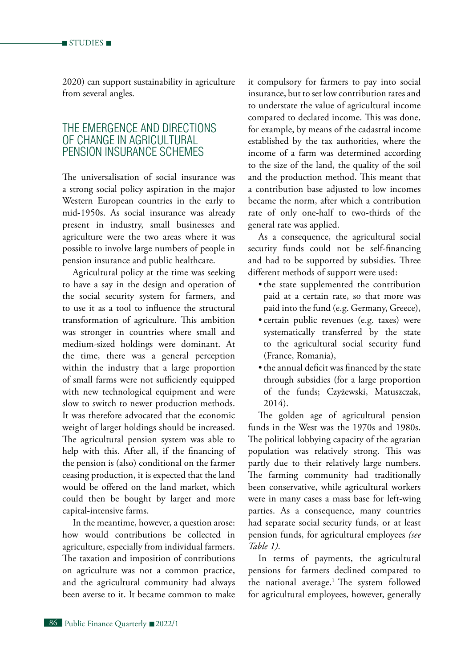2020) can support sustainability in agriculture from several angles.

# The emergence and directions of change in agricultural pension insurance schemes

The universalisation of social insurance was a strong social policy aspiration in the major Western European countries in the early to mid-1950s. As social insurance was already present in industry, small businesses and agriculture were the two areas where it was possible to involve large numbers of people in pension insurance and public healthcare.

Agricultural policy at the time was seeking to have a say in the design and operation of the social security system for farmers, and to use it as a tool to influence the structural transformation of agriculture. This ambition was stronger in countries where small and medium-sized holdings were dominant. At the time, there was a general perception within the industry that a large proportion of small farms were not sufficiently equipped with new technological equipment and were slow to switch to newer production methods. It was therefore advocated that the economic weight of larger holdings should be increased. The agricultural pension system was able to help with this. After all, if the financing of the pension is (also) conditional on the farmer ceasing production, it is expected that the land would be offered on the land market, which could then be bought by larger and more capital-intensive farms.

In the meantime, however, a question arose: how would contributions be collected in agriculture, especially from individual farmers. The taxation and imposition of contributions on agriculture was not a common practice, and the agricultural community had always been averse to it. It became common to make

it compulsory for farmers to pay into social insurance, but to set low contribution rates and to understate the value of agricultural income compared to declared income. This was done, for example, by means of the cadastral income established by the tax authorities, where the income of a farm was determined according to the size of the land, the quality of the soil and the production method. This meant that a contribution base adjusted to low incomes became the norm, after which a contribution rate of only one-half to two-thirds of the general rate was applied.

As a consequence, the agricultural social security funds could not be self-financing and had to be supported by subsidies. Three different methods of support were used:

- the state supplemented the contribution paid at a certain rate, so that more was paid into the fund (e.g. Germany, Greece),
- • certain public revenues (e.g. taxes) were systematically transferred by the state to the agricultural social security fund (France, Romania),
- the annual deficit was financed by the state through subsidies (for a large proportion of the funds; Czyżewski, Matuszczak, 2014).

The golden age of agricultural pension funds in the West was the 1970s and 1980s. The political lobbying capacity of the agrarian population was relatively strong. This was partly due to their relatively large numbers. The farming community had traditionally been conservative, while agricultural workers were in many cases a mass base for left-wing parties. As a consequence, many countries had separate social security funds, or at least pension funds, for agricultural employees *(see Table 1)*.

In terms of payments, the agricultural pensions for farmers declined compared to the national average.<sup>1</sup> The system followed for agricultural employees, however, generally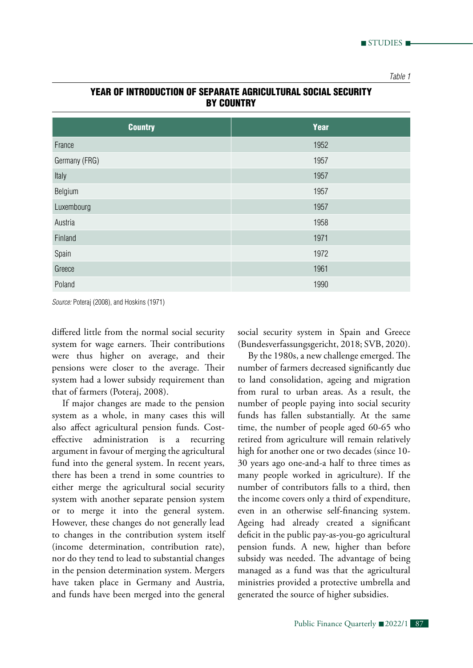| <b>Country</b> | Year |
|----------------|------|
| France         | 1952 |
| Germany (FRG)  | 1957 |
| Italy          | 1957 |
| Belgium        | 1957 |
| Luxembourg     | 1957 |
| Austria        | 1958 |
| Finland        | 1971 |
| Spain          | 1972 |
| Greece         | 1961 |
| Poland         | 1990 |

## Year of introduction of separate agricultural social security **BY COUNTRY**

*Source:* Poteraj (2008), and Hoskins (1971)

differed little from the normal social security system for wage earners. Their contributions were thus higher on average, and their pensions were closer to the average. Their system had a lower subsidy requirement than that of farmers (Poteraj, 2008).

If major changes are made to the pension system as a whole, in many cases this will also affect agricultural pension funds. Costeffective administration is a recurring argument in favour of merging the agricultural fund into the general system. In recent years, there has been a trend in some countries to either merge the agricultural social security system with another separate pension system or to merge it into the general system. However, these changes do not generally lead to changes in the contribution system itself (income determination, contribution rate), nor do they tend to lead to substantial changes in the pension determination system. Mergers have taken place in Germany and Austria, and funds have been merged into the general

social security system in Spain and Greece (Bundesverfassungsgericht, 2018; SVB, 2020).

By the 1980s, a new challenge emerged. The number of farmers decreased significantly due to land consolidation, ageing and migration from rural to urban areas. As a result, the number of people paying into social security funds has fallen substantially. At the same time, the number of people aged 60-65 who retired from agriculture will remain relatively high for another one or two decades (since 10- 30 years ago one-and-a half to three times as many people worked in agriculture). If the number of contributors falls to a third, then the income covers only a third of expenditure, even in an otherwise self-financing system. Ageing had already created a significant deficit in the public pay-as-you-go agricultural pension funds. A new, higher than before subsidy was needed. The advantage of being managed as a fund was that the agricultural ministries provided a protective umbrella and generated the source of higher subsidies.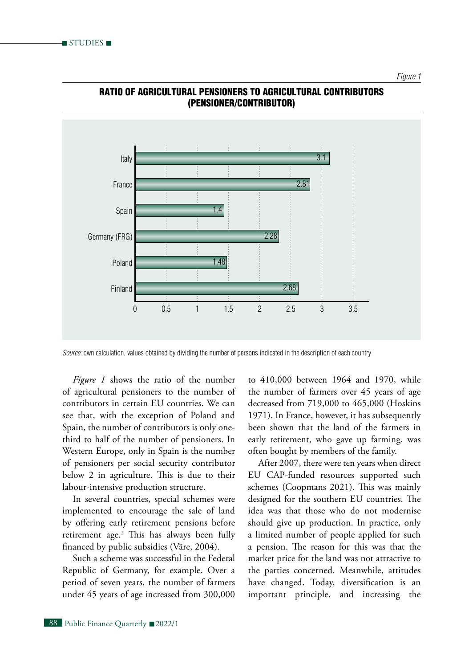

#### Ratio of agricultural pensioners to agricultural contributors (pensioner/contributor)

*Source:* own calculation, values obtained by dividing the number of persons indicated in the description of each country

*Figure 1* shows the ratio of the number of agricultural pensioners to the number of contributors in certain EU countries. We can see that, with the exception of Poland and Spain, the number of contributors is only onethird to half of the number of pensioners. In Western Europe, only in Spain is the number of pensioners per social security contributor below 2 in agriculture. This is due to their labour-intensive production structure.

In several countries, special schemes were implemented to encourage the sale of land by offering early retirement pensions before retirement age.2 This has always been fully financed by public subsidies (Väre, 2004).

Such a scheme was successful in the Federal Republic of Germany, for example. Over a period of seven years, the number of farmers under 45 years of age increased from 300,000 to 410,000 between 1964 and 1970, while the number of farmers over 45 years of age decreased from 719,000 to 465,000 (Hoskins 1971). In France, however, it has subsequently been shown that the land of the farmers in early retirement, who gave up farming, was often bought by members of the family.

After 2007, there were ten years when direct EU CAP-funded resources supported such schemes (Coopmans 2021). This was mainly designed for the southern EU countries. The idea was that those who do not modernise should give up production. In practice, only a limited number of people applied for such a pension. The reason for this was that the market price for the land was not attractive to the parties concerned. Meanwhile, attitudes have changed. Today, diversification is an important principle, and increasing the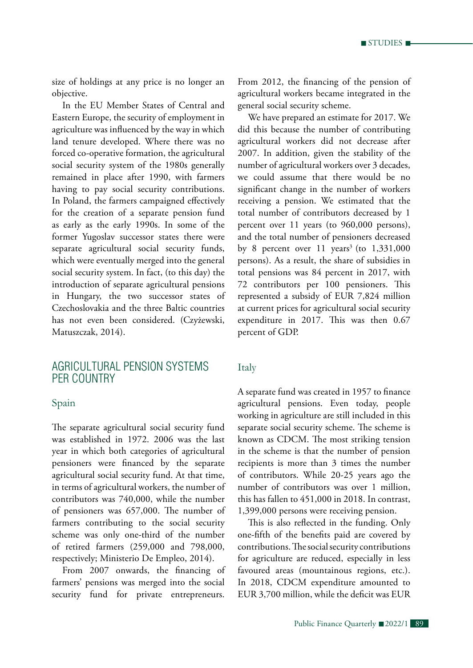size of holdings at any price is no longer an objective.

In the EU Member States of Central and Eastern Europe, the security of employment in agriculture was influenced by the way in which land tenure developed. Where there was no forced co-operative formation, the agricultural social security system of the 1980s generally remained in place after 1990, with farmers having to pay social security contributions. In Poland, the farmers campaigned effectively for the creation of a separate pension fund as early as the early 1990s. In some of the former Yugoslav successor states there were separate agricultural social security funds, which were eventually merged into the general social security system. In fact, (to this day) the introduction of separate agricultural pensions in Hungary, the two successor states of Czechoslovakia and the three Baltic countries has not even been considered. (Czyżewski, Matuszczak, 2014).

# Agricultural pension systems per country

#### Spain

The separate agricultural social security fund was established in 1972. 2006 was the last year in which both categories of agricultural pensioners were financed by the separate agricultural social security fund. At that time, in terms of agricultural workers, the number of contributors was 740,000, while the number of pensioners was 657,000. The number of farmers contributing to the social security scheme was only one-third of the number of retired farmers (259,000 and 798,000, respectively; Ministerio De Empleo, 2014).

From 2007 onwards, the financing of farmers' pensions was merged into the social security fund for private entrepreneurs.

From 2012, the financing of the pension of agricultural workers became integrated in the general social security scheme.

We have prepared an estimate for 2017. We did this because the number of contributing agricultural workers did not decrease after 2007. In addition, given the stability of the number of agricultural workers over 3 decades, we could assume that there would be no significant change in the number of workers receiving a pension. We estimated that the total number of contributors decreased by 1 percent over 11 years (to 960,000 persons), and the total number of pensioners decreased by 8 percent over  $11$  years<sup>3</sup> (to  $1,331,000$ persons). As a result, the share of subsidies in total pensions was 84 percent in 2017, with 72 contributors per 100 pensioners. This represented a subsidy of EUR 7,824 million at current prices for agricultural social security expenditure in 2017. This was then 0.67 percent of GDP.

#### Italy

A separate fund was created in 1957 to finance agricultural pensions. Even today, people working in agriculture are still included in this separate social security scheme. The scheme is known as CDCM. The most striking tension in the scheme is that the number of pension recipients is more than 3 times the number of contributors. While 20-25 years ago the number of contributors was over 1 million, this has fallen to 451,000 in 2018. In contrast, 1,399,000 persons were receiving pension.

This is also reflected in the funding. Only one-fifth of the benefits paid are covered by contributions. The social security contributions for agriculture are reduced, especially in less favoured areas (mountainous regions, etc.). In 2018, CDCM expenditure amounted to EUR 3,700 million, while the deficit was EUR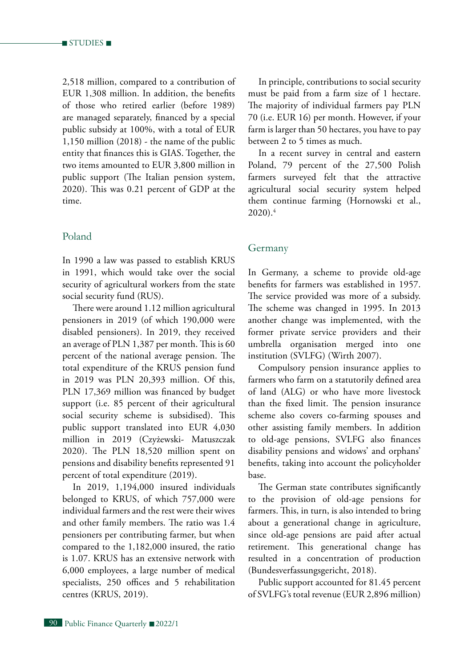2,518 million, compared to a contribution of EUR 1,308 million. In addition, the benefits of those who retired earlier (before 1989) are managed separately, financed by a special public subsidy at 100%, with a total of EUR 1,150 million (2018) - the name of the public entity that finances this is GIAS. Together, the two items amounted to EUR 3,800 million in public support (The Italian pension system, 2020). This was 0.21 percent of GDP at the time.

## Poland

In 1990 a law was passed to establish KRUS in 1991, which would take over the social security of agricultural workers from the state social security fund (RUS).

There were around 1.12 million agricultural pensioners in 2019 (of which 190,000 were disabled pensioners). In 2019, they received an average of PLN 1,387 per month. This is 60 percent of the national average pension. The total expenditure of the KRUS pension fund in 2019 was PLN 20,393 million. Of this, PLN 17,369 million was financed by budget support (i.e. 85 percent of their agricultural social security scheme is subsidised). This public support translated into EUR 4,030 million in 2019 (Czyżewski- Matuszczak 2020). The PLN 18,520 million spent on pensions and disability benefits represented 91 percent of total expenditure (2019).

In 2019, 1,194,000 insured individuals belonged to KRUS, of which 757,000 were individual farmers and the rest were their wives and other family members. The ratio was 1.4 pensioners per contributing farmer, but when compared to the 1,182,000 insured, the ratio is 1.07. KRUS has an extensive network with 6,000 employees, a large number of medical specialists, 250 offices and 5 rehabilitation centres (KRUS, 2019).

In principle, contributions to social security must be paid from a farm size of 1 hectare. The majority of individual farmers pay PLN 70 (i.e. EUR 16) per month. However, if your farm is larger than 50 hectares, you have to pay between 2 to 5 times as much.

In a recent survey in central and eastern Poland, 79 percent of the 27,500 Polish farmers surveyed felt that the attractive agricultural social security system helped them continue farming (Hornowski et al.,  $2020$ ).<sup>4</sup>

#### Germany

In Germany, a scheme to provide old-age benefits for farmers was established in 1957. The service provided was more of a subsidy. The scheme was changed in 1995. In 2013 another change was implemented, with the former private service providers and their umbrella organisation merged into one institution (SVLFG) (Wirth 2007).

Compulsory pension insurance applies to farmers who farm on a statutorily defined area of land (ALG) or who have more livestock than the fixed limit. The pension insurance scheme also covers co-farming spouses and other assisting family members. In addition to old-age pensions, SVLFG also finances disability pensions and widows' and orphans' benefits, taking into account the policyholder base.

The German state contributes significantly to the provision of old-age pensions for farmers. This, in turn, is also intended to bring about a generational change in agriculture, since old-age pensions are paid after actual retirement. This generational change has resulted in a concentration of production (Bundesverfassungsgericht, 2018).

Public support accounted for 81.45 percent of SVLFG's total revenue (EUR 2,896 million)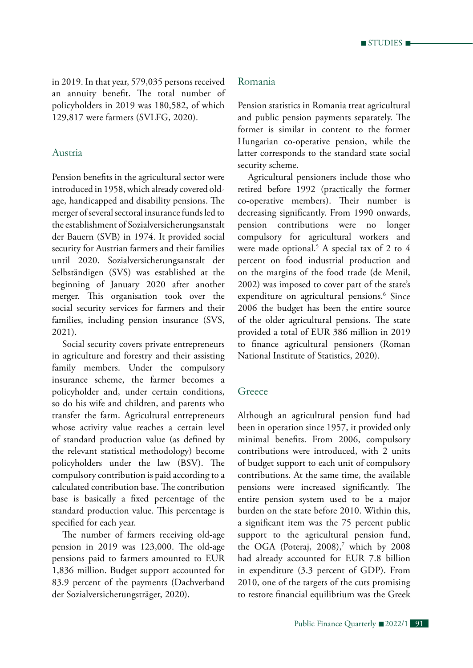in 2019. In that year, 579,035 persons received an annuity benefit. The total number of policyholders in 2019 was 180,582, of which 129,817 were farmers (SVLFG, 2020).

## Austria

Pension benefits in the agricultural sector were introduced in 1958, which already covered oldage, handicapped and disability pensions. The merger of several sectoral insurance funds led to the establishment of Sozialversicherungsanstalt der Bauern (SVB) in 1974. It provided social security for Austrian farmers and their families until 2020. Sozialversicherungsanstalt der Selbständigen (SVS) was established at the beginning of January 2020 after another merger. This organisation took over the social security services for farmers and their families, including pension insurance (SVS, 2021).

Social security covers private entrepreneurs in agriculture and forestry and their assisting family members. Under the compulsory insurance scheme, the farmer becomes a policyholder and, under certain conditions, so do his wife and children, and parents who transfer the farm. Agricultural entrepreneurs whose activity value reaches a certain level of standard production value (as defined by the relevant statistical methodology) become policyholders under the law (BSV). The compulsory contribution is paid according to a calculated contribution base. The contribution base is basically a fixed percentage of the standard production value. This percentage is specified for each year.

The number of farmers receiving old-age pension in 2019 was 123,000. The old-age pensions paid to farmers amounted to EUR 1,836 million. Budget support accounted for 83.9 percent of the payments (Dachverband der Sozialversicherungsträger, 2020).

## Romania

Pension statistics in Romania treat agricultural and public pension payments separately. The former is similar in content to the former Hungarian co-operative pension, while the latter corresponds to the standard state social security scheme.

Agricultural pensioners include those who retired before 1992 (practically the former co-operative members). Their number is decreasing significantly. From 1990 onwards, pension contributions were no longer compulsory for agricultural workers and were made optional.5 A special tax of 2 to 4 percent on food industrial production and on the margins of the food trade (de Menil, 2002) was imposed to cover part of the state's expenditure on agricultural pensions.<sup>6</sup> Since 2006 the budget has been the entire source of the older agricultural pensions. The state provided a total of EUR 386 million in 2019 to finance agricultural pensioners (Roman National Institute of Statistics, 2020).

## **Greece**

Although an agricultural pension fund had been in operation since 1957, it provided only minimal benefits. From 2006, compulsory contributions were introduced, with 2 units of budget support to each unit of compulsory contributions. At the same time, the available pensions were increased significantly. The entire pension system used to be a major burden on the state before 2010. Within this, a significant item was the 75 percent public support to the agricultural pension fund, the OGA (Poteraj,  $2008$ ),<sup>7</sup> which by 2008 had already accounted for EUR 7.8 billion in expenditure (3.3 percent of GDP). From 2010, one of the targets of the cuts promising to restore financial equilibrium was the Greek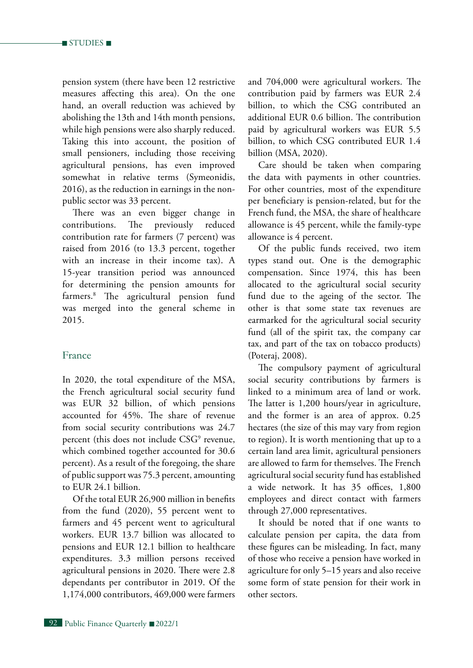pension system (there have been 12 restrictive measures affecting this area). On the one hand, an overall reduction was achieved by abolishing the 13th and 14th month pensions, while high pensions were also sharply reduced. Taking this into account, the position of small pensioners, including those receiving agricultural pensions, has even improved somewhat in relative terms (Symeonidis, 2016), as the reduction in earnings in the nonpublic sector was 33 percent.

There was an even bigger change in contributions. The previously reduced contribution rate for farmers (7 percent) was raised from 2016 (to 13.3 percent, together with an increase in their income tax). A 15-year transition period was announced for determining the pension amounts for farmers.8 The agricultural pension fund was merged into the general scheme in 2015.

#### France

In 2020, the total expenditure of the MSA, the French agricultural social security fund was EUR 32 billion, of which pensions accounted for 45%. The share of revenue from social security contributions was 24.7 percent (this does not include CSG<sup>9</sup> revenue, which combined together accounted for 30.6 percent). As a result of the foregoing, the share of public support was 75.3 percent, amounting to EUR 24.1 billion.

Of the total EUR 26,900 million in benefits from the fund (2020), 55 percent went to farmers and 45 percent went to agricultural workers. EUR 13.7 billion was allocated to pensions and EUR 12.1 billion to healthcare expenditures. 3.3 million persons received agricultural pensions in 2020. There were 2.8 dependants per contributor in 2019. Of the 1,174,000 contributors, 469,000 were farmers and 704,000 were agricultural workers. The contribution paid by farmers was EUR 2.4 billion, to which the CSG contributed an additional EUR 0.6 billion. The contribution paid by agricultural workers was EUR 5.5 billion, to which CSG contributed EUR 1.4 billion (MSA, 2020).

Care should be taken when comparing the data with payments in other countries. For other countries, most of the expenditure per beneficiary is pension-related, but for the French fund, the MSA, the share of healthcare allowance is 45 percent, while the family-type allowance is 4 percent.

Of the public funds received, two item types stand out. One is the demographic compensation. Since 1974, this has been allocated to the agricultural social security fund due to the ageing of the sector. The other is that some state tax revenues are earmarked for the agricultural social security fund (all of the spirit tax, the company car tax, and part of the tax on tobacco products) (Poteraj, 2008).

The compulsory payment of agricultural social security contributions by farmers is linked to a minimum area of land or work. The latter is 1,200 hours/year in agriculture, and the former is an area of approx. 0.25 hectares (the size of this may vary from region to region). It is worth mentioning that up to a certain land area limit, agricultural pensioners are allowed to farm for themselves. The French agricultural social security fund has established a wide network. It has 35 offices, 1,800 employees and direct contact with farmers through 27,000 representatives.

It should be noted that if one wants to calculate pension per capita, the data from these figures can be misleading. In fact, many of those who receive a pension have worked in agriculture for only 5–15 years and also receive some form of state pension for their work in other sectors.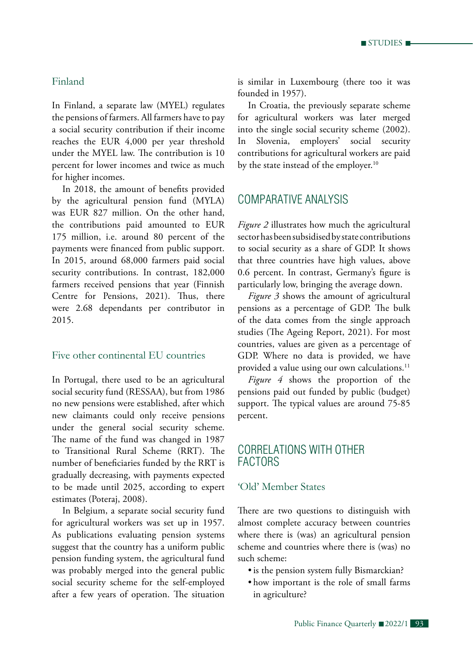$\blacksquare$  STUDIES  $\blacksquare$ 

## Finland

In Finland, a separate law (MYEL) regulates the pensions of farmers. All farmers have to pay a social security contribution if their income reaches the EUR 4,000 per year threshold under the MYEL law. The contribution is 10 percent for lower incomes and twice as much for higher incomes.

In 2018, the amount of benefits provided by the agricultural pension fund (MYLA) was EUR 827 million. On the other hand, the contributions paid amounted to EUR 175 million, i.e. around 80 percent of the payments were financed from public support. In 2015, around 68,000 farmers paid social security contributions. In contrast, 182,000 farmers received pensions that year (Finnish Centre for Pensions, 2021). Thus, there were 2.68 dependants per contributor in 2015.

## Five other continental EU countries

In Portugal, there used to be an agricultural social security fund (RESSAA), but from 1986 no new pensions were established, after which new claimants could only receive pensions under the general social security scheme. The name of the fund was changed in 1987 to Transitional Rural Scheme (RRT). The number of beneficiaries funded by the RRT is gradually decreasing, with payments expected to be made until 2025, according to expert estimates (Poteraj, 2008).

In Belgium, a separate social security fund for agricultural workers was set up in 1957. As publications evaluating pension systems suggest that the country has a uniform public pension funding system, the agricultural fund was probably merged into the general public social security scheme for the self-employed after a few years of operation. The situation is similar in Luxembourg (there too it was founded in 1957).

In Croatia, the previously separate scheme for agricultural workers was later merged into the single social security scheme (2002). In Slovenia, employers' social security contributions for agricultural workers are paid by the state instead of the employer.<sup>10</sup>

# Comparative Analysis

*Figure 2* illustrates how much the agricultural sector has been subsidised by state contributions to social security as a share of GDP. It shows that three countries have high values, above 0.6 percent. In contrast, Germany's figure is particularly low, bringing the average down.

*Figure 3* shows the amount of agricultural pensions as a percentage of GDP. The bulk of the data comes from the single approach studies (The Ageing Report, 2021). For most countries, values are given as a percentage of GDP. Where no data is provided, we have provided a value using our own calculations.<sup>11</sup>

*Figure 4* shows the proportion of the pensions paid out funded by public (budget) support. The typical values are around 75-85 percent.

# Correlations with other **FACTORS**

#### 'Old' Member States

There are two questions to distinguish with almost complete accuracy between countries where there is (was) an agricultural pension scheme and countries where there is (was) no such scheme:

- is the pension system fully Bismarckian?
- • how important is the role of small farms in agriculture?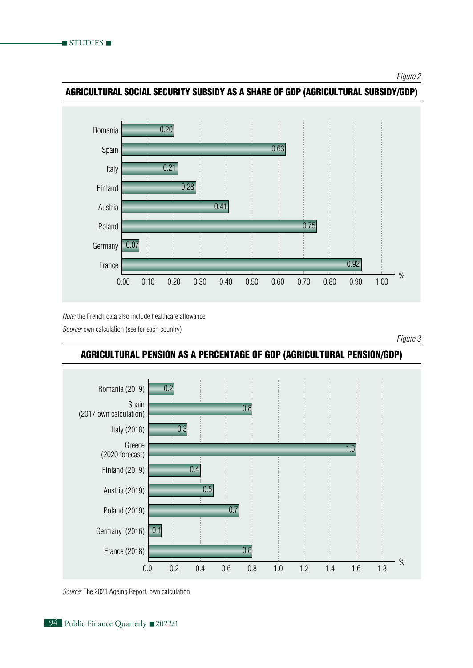*Figure 2*



Agricultural social security subsidy as a share of GDP (agricultural subsidy/GDP)

*Note:* the French data also include healthcare allowance

*Source:* own calculation (see for each country)

*Figure 3*



# Agricultural pension as a percentage of GDP (agricultural pension/GDP)

*Source:* The 2021 Ageing Report, own calculation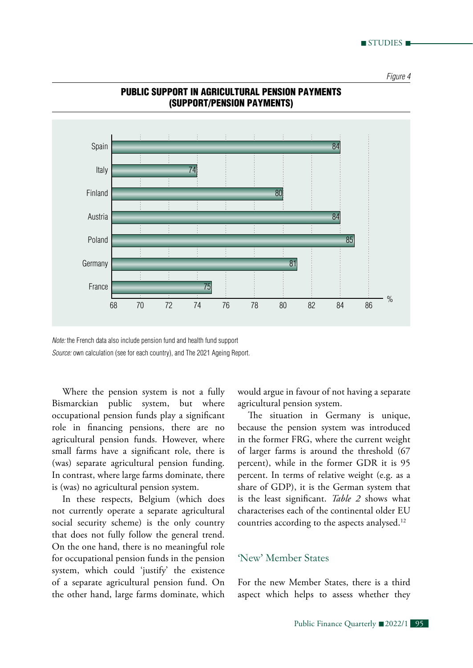*Figure 4*



## Public support in agricultural pension payments (support/pension payments)

*Note:* the French data also include pension fund and health fund support *Source:* own calculation (see for each country), and The 2021 Ageing Report.

Where the pension system is not a fully Bismarckian public system, but where occupational pension funds play a significant role in financing pensions, there are no agricultural pension funds. However, where small farms have a significant role, there is (was) separate agricultural pension funding. In contrast, where large farms dominate, there is (was) no agricultural pension system.

In these respects, Belgium (which does not currently operate a separate agricultural social security scheme) is the only country that does not fully follow the general trend. On the one hand, there is no meaningful role for occupational pension funds in the pension system, which could 'justify' the existence of a separate agricultural pension fund. On the other hand, large farms dominate, which would argue in favour of not having a separate agricultural pension system.

The situation in Germany is unique, because the pension system was introduced in the former FRG, where the current weight of larger farms is around the threshold (67 percent), while in the former GDR it is 95 percent. In terms of relative weight (e.g. as a share of GDP), it is the German system that is the least significant. *Table 2* shows what characterises each of the continental older EU countries according to the aspects analysed.12

## 'New' Member States

For the new Member States, there is a third aspect which helps to assess whether they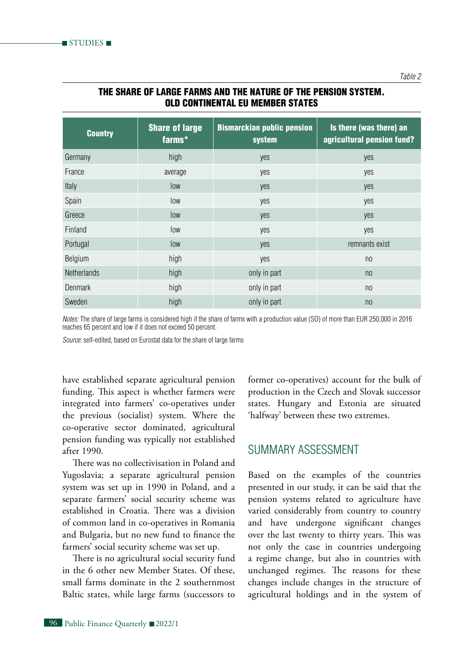| <b>Country</b>     | <b>Share of large</b><br>farms* | <b>Bismarckian public pension</b><br>system | Is there (was there) an<br>agricultural pension fund? |
|--------------------|---------------------------------|---------------------------------------------|-------------------------------------------------------|
| Germany            | high                            | yes                                         | yes                                                   |
| France             | average                         | yes                                         | yes                                                   |
| Italy              | low                             | yes                                         | yes                                                   |
| Spain              | low                             | yes                                         | yes                                                   |
| Greece             | low                             | yes                                         | yes                                                   |
| Finland            | low                             | yes                                         | yes                                                   |
| Portugal           | low                             | yes                                         | remnants exist                                        |
| Belgium            | high                            | yes                                         | n <sub>0</sub>                                        |
| <b>Netherlands</b> | high                            | only in part                                | n <sub>0</sub>                                        |
| <b>Denmark</b>     | high                            | only in part                                | n <sub>0</sub>                                        |
| Sweden             | high                            | only in part                                | n <sub>0</sub>                                        |

## The share of large farms and the nature of the pension system. Old continental EU Member States

*Notes:* The share of large farms is considered high if the share of farms with a production value (SO) of more than EUR 250,000 in 2016 reaches 65 percent and low if it does not exceed 50 percent.

*Source:* self-edited, based on Eurostat data for the share of large farms

have established separate agricultural pension funding. This aspect is whether farmers were integrated into farmers' co-operatives under the previous (socialist) system. Where the co-operative sector dominated, agricultural pension funding was typically not established after 1990.

There was no collectivisation in Poland and Yugoslavia; a separate agricultural pension system was set up in 1990 in Poland, and a separate farmers' social security scheme was established in Croatia. There was a division of common land in co-operatives in Romania and Bulgaria, but no new fund to finance the farmers' social security scheme was set up.

There is no agricultural social security fund in the 6 other new Member States. Of these, small farms dominate in the 2 southernmost Baltic states, while large farms (successors to

former co-operatives) account for the bulk of production in the Czech and Slovak successor states. Hungary and Estonia are situated 'halfway' between these two extremes.

# Summary assessment

Based on the examples of the countries presented in our study, it can be said that the pension systems related to agriculture have varied considerably from country to country and have undergone significant changes over the last twenty to thirty years. This was not only the case in countries undergoing a regime change, but also in countries with unchanged regimes. The reasons for these changes include changes in the structure of agricultural holdings and in the system of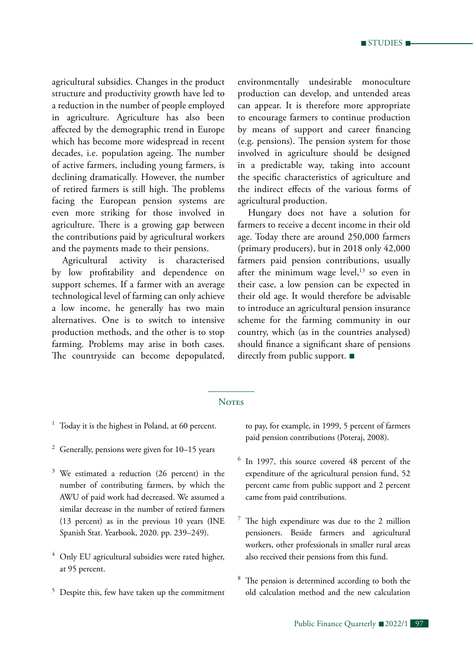agricultural subsidies. Changes in the product structure and productivity growth have led to a reduction in the number of people employed in agriculture. Agriculture has also been affected by the demographic trend in Europe which has become more widespread in recent decades, i.e. population ageing. The number of active farmers, including young farmers, is declining dramatically. However, the number of retired farmers is still high. The problems facing the European pension systems are even more striking for those involved in agriculture. There is a growing gap between the contributions paid by agricultural workers and the payments made to their pensions.

Agricultural activity is characterised by low profitability and dependence on support schemes. If a farmer with an average technological level of farming can only achieve a low income, he generally has two main alternatives. One is to switch to intensive production methods, and the other is to stop farming. Problems may arise in both cases. The countryside can become depopulated, environmentally undesirable monoculture production can develop, and untended areas can appear. It is therefore more appropriate to encourage farmers to continue production by means of support and career financing (e.g. pensions). The pension system for those involved in agriculture should be designed in a predictable way, taking into account the specific characteristics of agriculture and the indirect effects of the various forms of agricultural production.

Hungary does not have a solution for farmers to receive a decent income in their old age. Today there are around 250,000 farmers (primary producers), but in 2018 only 42,000 farmers paid pension contributions, usually after the minimum wage level, $13$  so even in their case, a low pension can be expected in their old age. It would therefore be advisable to introduce an agricultural pension insurance scheme for the farming community in our country, which (as in the countries analysed) should finance a significant share of pensions directly from public support. ■

#### **NOTES**

- $1$  Today it is the highest in Poland, at 60 percent.
- <sup>2</sup> Generally, pensions were given for  $10-15$  years
- $3$  We estimated a reduction (26 percent) in the number of contributing farmers, by which the AWU of paid work had decreased. We assumed a similar decrease in the number of retired farmers (13 percent) as in the previous 10 years (INE Spanish Stat. Yearbook, 2020. pp. 239–249).
- <sup>4</sup> Only EU agricultural subsidies were rated higher, at 95 percent.
- <sup>5</sup> Despite this, few have taken up the commitment

to pay, for example, in 1999, 5 percent of farmers paid pension contributions (Poteraj, 2008).

- <sup>6</sup> In 1997, this source covered 48 percent of the expenditure of the agricultural pension fund, 52 percent came from public support and 2 percent came from paid contributions.
- The high expenditure was due to the 2 million pensioners. Beside farmers and agricultural workers, other professionals in smaller rural areas also received their pensions from this fund.
- <sup>8</sup> The pension is determined according to both the old calculation method and the new calculation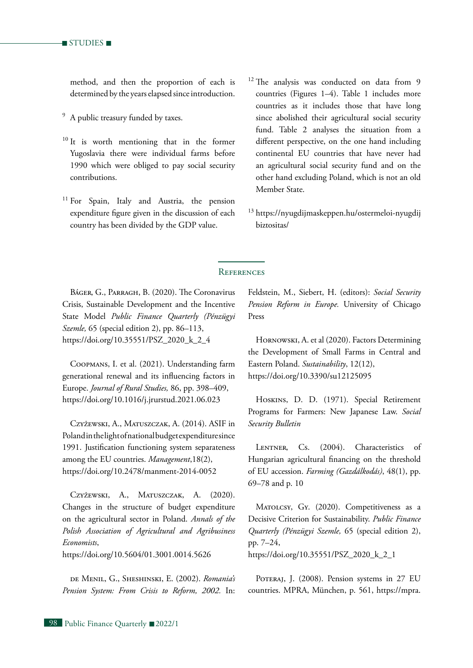$\blacksquare$  studies  $\blacksquare$ 

method, and then the proportion of each is determined by the years elapsed since introduction.

- <sup>9</sup> A public treasury funded by taxes.
- $10$  It is worth mentioning that in the former Yugoslavia there were individual farms before 1990 which were obliged to pay social security contributions.
- <sup>11</sup> For Spain, Italy and Austria, the pension expenditure figure given in the discussion of each country has been divided by the GDP value.
- <sup>12</sup> The analysis was conducted on data from 9 countries (Figures 1–4). Table 1 includes more countries as it includes those that have long since abolished their agricultural social security fund. Table 2 analyses the situation from a different perspective, on the one hand including continental EU countries that have never had an agricultural social security fund and on the other hand excluding Poland, which is not an old Member State.
- <sup>13</sup> https://nyugdijmaskeppen.hu/ostermeloi-nyugdij biztositas/

#### **REFERENCES**

Báger, G., Parragh, B. (2020). The Coronavirus Crisis, Sustainable Development and the Incentive State Model *Public Finance Quarterly (Pénzügyi Szemle,* 65 (special edition 2), pp. 86–113, https://doi.org/10.35551/PSZ\_2020\_k\_2\_4

Coopmans, I. et al. (2021). Understanding farm generational renewal and its influencing factors in Europe. *Journal of Rural Studies,* 86, pp. 398–409, https://doi.org/10.1016/j.jrurstud.2021.06.023

Czyżewski, A., Matuszczak, A. (2014). ASIF in Poland in the light of national budget expenditure since 1991. Justification functioning system separateness among the EU countries. *Management*,18(2), https://doi.org/10.2478/manment-2014-0052

Czyżewski, A., Matuszczak, A. (2020). Changes in the structure of budget expenditure on the agricultural sector in Poland. *Annals of the Polish Association of Agricultural and Agribusiness Economists*,

https://doi.org/10.5604/01.3001.0014.5626

de Menil, G., Sheshinski, E. (2002). *Romania's Pension System: From Crisis to Reform, 2002.* In:

Feldstein, M., Siebert, H. (editors): *Social Security Pension Reform in Europe.* University of Chicago Press

HORNOWSKI, A. et al (2020). Factors Determining the Development of Small Farms in Central and Eastern Poland. *Sustainability*, 12(12), https://doi.org/10.3390/su12125095

Hoskins, D. D. (1971). Special Retirement Programs for Farmers: New Japanese Law. *Social Security Bulletin*

LENTNER, Cs. (2004). Characteristics of Hungarian agricultural financing on the threshold of EU accession. *Farming (Gazdálkodás)*, 48(1), pp. 69–78 and p. 10

MATOLCSY, GY. (2020). Competitiveness as a Decisive Criterion for Sustainability. *Public Finance Quarterly (Pénzügyi Szemle,* 65 (special edition 2), pp. 7–24, https://doi.org/10.35551/PSZ\_2020\_k\_2\_1

POTERAJ, J. (2008). Pension systems in 27 EU countries. MPRA, München, p. 561, https://mpra.